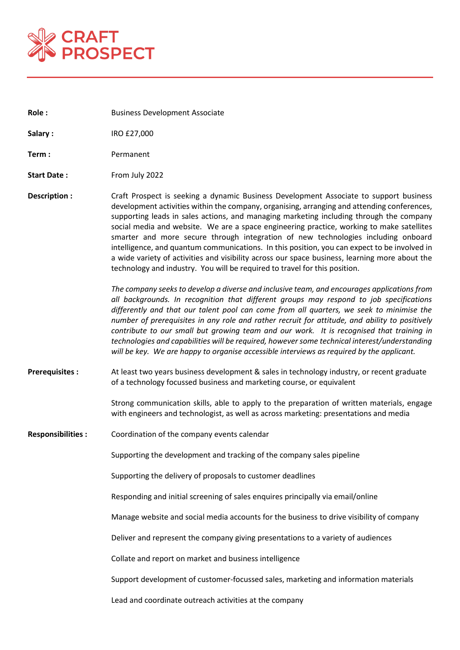

**Role : Business Development Associate** 

**Salary :** IRO £27,000

**Term :** Permanent

- **Start Date:** From July 2022
- **Description :** Craft Prospect is seeking a dynamic Business Development Associate to support business development activities within the company, organising, arranging and attending conferences, supporting leads in sales actions, and managing marketing including through the company social media and website. We are a space engineering practice, working to make satellites smarter and more secure through integration of new technologies including onboard intelligence, and quantum communications. In this position, you can expect to be involved in a wide variety of activities and visibility across our space business, learning more about the technology and industry. You will be required to travel for this position.

*The company seeks to develop a diverse and inclusive team, and encourages applications from all backgrounds. In recognition that different groups may respond to job specifications differently and that our talent pool can come from all quarters, we seek to minimise the number of prerequisites in any role and rather recruit for attitude, and ability to positively contribute to our small but growing team and our work. It is recognised that training in technologies and capabilities will be required, however some technical interest/understanding will be key. We are happy to organise accessible interviews as required by the applicant.*

**Prerequisites :** At least two years business development & sales in technology industry, or recent graduate of a technology focussed business and marketing course, or equivalent

> Strong communication skills, able to apply to the preparation of written materials, engage with engineers and technologist, as well as across marketing: presentations and media

**Responsibilities :** Coordination of the company events calendar

Supporting the development and tracking of the company sales pipeline

Supporting the delivery of proposals to customer deadlines

Responding and initial screening of sales enquires principally via email/online

Manage website and social media accounts for the business to drive visibility of company

Deliver and represent the company giving presentations to a variety of audiences

Collate and report on market and business intelligence

Support development of customer-focussed sales, marketing and information materials

Lead and coordinate outreach activities at the company